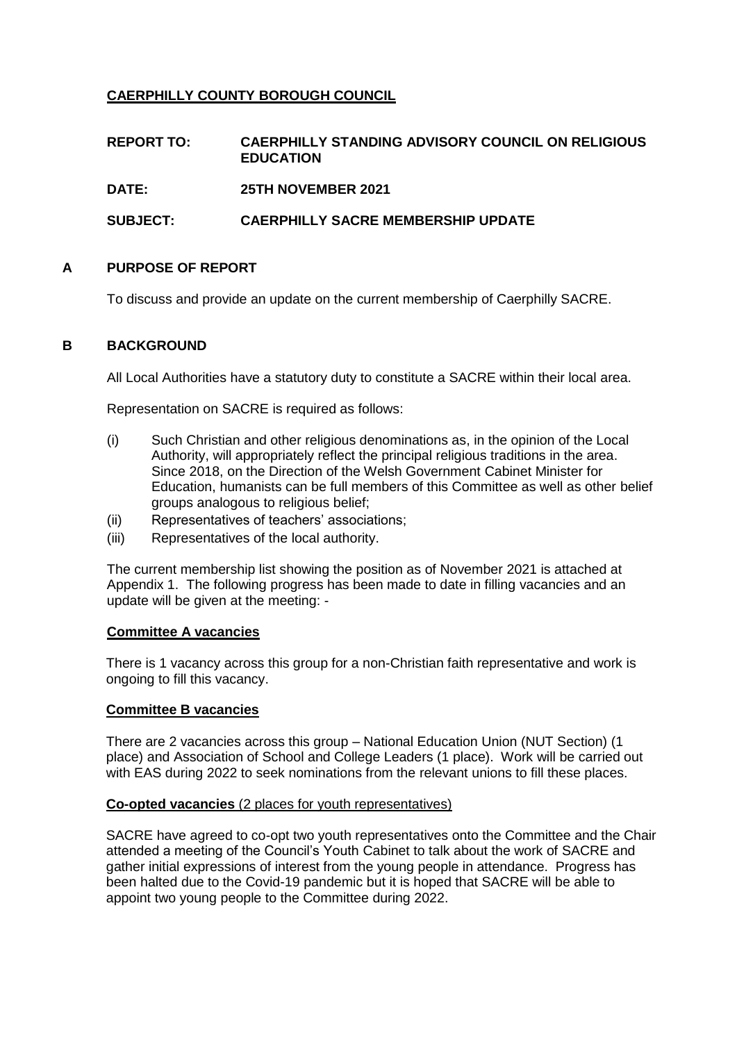# **CAERPHILLY COUNTY BOROUGH COUNCIL**

| <b>REPORT TO:</b> | <b>CAERPHILLY STANDING ADVISORY COUNCIL ON RELIGIOUS</b><br><b>EDUCATION</b> |
|-------------------|------------------------------------------------------------------------------|
| DATE:             | <b>25TH NOVEMBER 2021</b>                                                    |
| <b>SUBJECT:</b>   | <b>CAERPHILLY SACRE MEMBERSHIP UPDATE</b>                                    |

### **A PURPOSE OF REPORT**

To discuss and provide an update on the current membership of Caerphilly SACRE.

### **B** BACKGROUND

All Local Authorities have a statutory duty to constitute a SACRE within their local area.

Representation on SACRE is required as follows:

- (i) Such Christian and other religious denominations as, in the opinion of the Local Authority, will appropriately reflect the principal religious traditions in the area. Since 2018, on the Direction of the Welsh Government Cabinet Minister for Education, humanists can be full members of this Committee as well as other belief groups analogous to religious belief;
- (ii) Representatives of teachers' associations;
- (iii) Representatives of the local authority.

The current membership list showing the position as of November 2021 is attached at Appendix 1. The following progress has been made to date in filling vacancies and an update will be given at the meeting: -

#### **Committee A vacancies**

There is 1 vacancy across this group for a non-Christian faith representative and work is ongoing to fill this vacancy.

### **Committee B vacancies**

There are 2 vacancies across this group – National Education Union (NUT Section) (1 place) and Association of School and College Leaders (1 place). Work will be carried out with EAS during 2022 to seek nominations from the relevant unions to fill these places.

#### **Co-opted vacancies** (2 places for youth representatives)

SACRE have agreed to co-opt two youth representatives onto the Committee and the Chair attended a meeting of the Council's Youth Cabinet to talk about the work of SACRE and gather initial expressions of interest from the young people in attendance. Progress has been halted due to the Covid-19 pandemic but it is hoped that SACRE will be able to appoint two young people to the Committee during 2022.